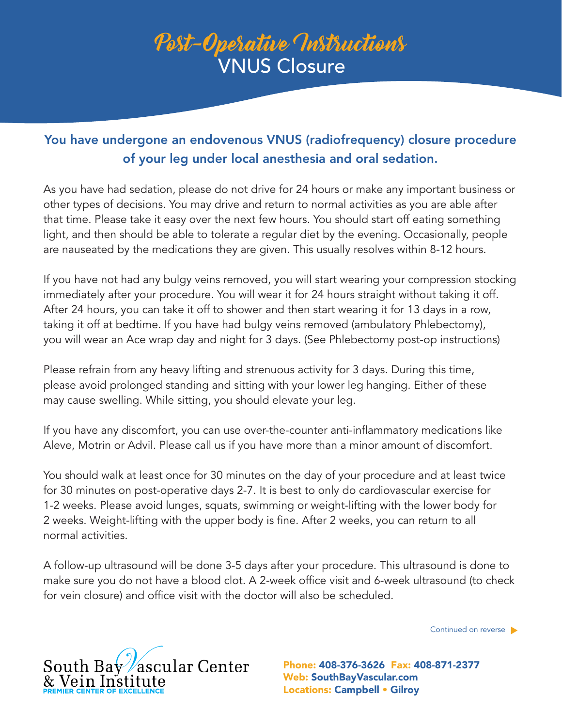## Post-Operative Instructions VNUS Closure

## You have undergone an endovenous VNUS (radiofrequency) closure procedure of your leg under local anesthesia and oral sedation.

As you have had sedation, please do not drive for 24 hours or make any important business or other types of decisions. You may drive and return to normal activities as you are able after that time. Please take it easy over the next few hours. You should start off eating something light, and then should be able to tolerate a regular diet by the evening. Occasionally, people are nauseated by the medications they are given. This usually resolves within 8-12 hours.

If you have not had any bulgy veins removed, you will start wearing your compression stocking immediately after your procedure. You will wear it for 24 hours straight without taking it off. After 24 hours, you can take it off to shower and then start wearing it for 13 days in a row, taking it off at bedtime. If you have had bulgy veins removed (ambulatory Phlebectomy), you will wear an Ace wrap day and night for 3 days. (See Phlebectomy post-op instructions)

Please refrain from any heavy lifting and strenuous activity for 3 days. During this time, please avoid prolonged standing and sitting with your lower leg hanging. Either of these may cause swelling. While sitting, you should elevate your leg.

If you have any discomfort, you can use over-the-counter anti-inflammatory medications like Aleve, Motrin or Advil. Please call us if you have more than a minor amount of discomfort.

You should walk at least once for 30 minutes on the day of your procedure and at least twice for 30 minutes on post-operative days 2-7. It is best to only do cardiovascular exercise for 1-2 weeks. Please avoid lunges, squats, swimming or weight-lifting with the lower body for 2 weeks. Weight-lifting with the upper body is fine. After 2 weeks, you can return to all normal activities.

A follow-up ultrasound will be done 3-5 days after your procedure. This ultrasound is done to make sure you do not have a blood clot. A 2-week office visit and 6-week ultrasound (to check for vein closure) and office visit with the doctor will also be scheduled.

Continued on reverse



Web: SouthBayVascular.com Locations: Campbell • Gilroy Phone: 408-376-3626 Fax: 408-871-2377